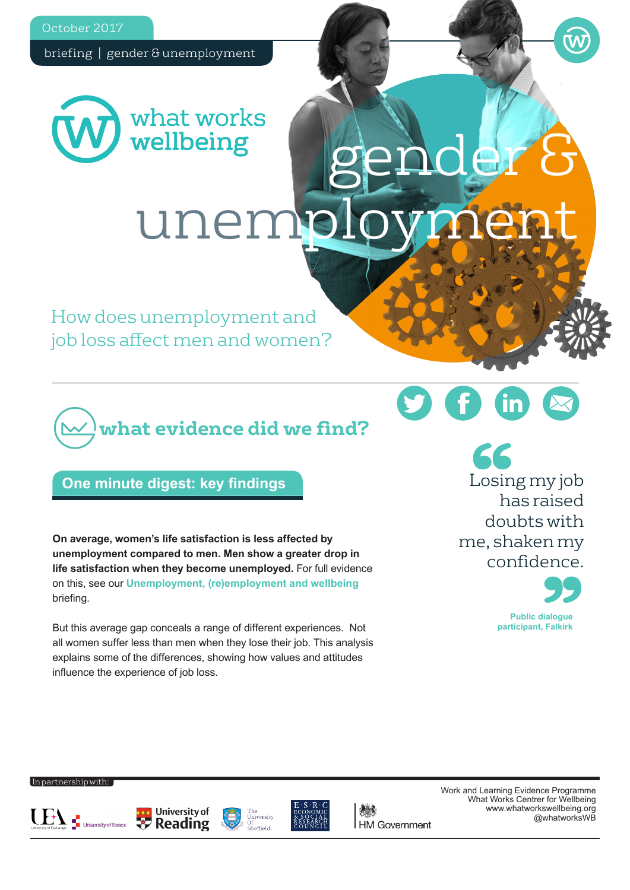October 2017

briefing | gender & unemployment



gender & unemp

How does unemployment and job loss affect men and women?

# **what evidence did we find?**

## **One minute digest: key findings**

**On average, women's life satisfaction is less affected by unemployment compared to men. Men show a greater drop in life satisfaction when they become unemployed.** For full evidence on this, see our **[Unemployment, \(re\)employment and wellbeing](https://www.whatworkswellbeing.org/product/unemployment-reemployment-and-wellbeing/)** briefing.

But this average gap conceals a range of different experiences. Not all women suffer less than men when they lose their job. This analysis explains some of the differences, showing how values and attitudes influence the experience of job loss.

Losing my job has raised doubts with me, shaken my confidence.



#### In partnership with:









**HM Government** 

Work and Learning Evidence Programme What Works Centrer for Wellbeing www.whatworkswellbeing.org @whatworksWB